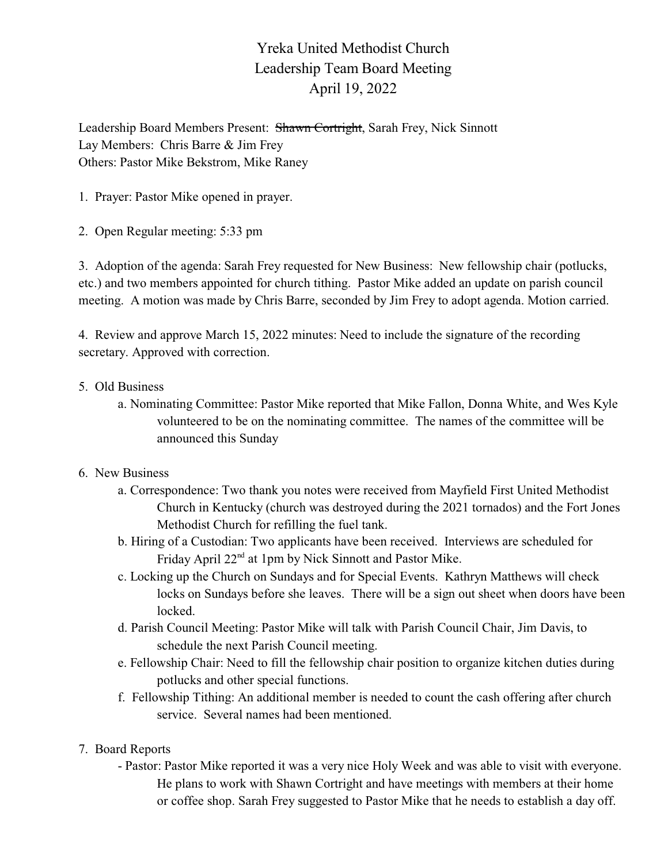## Yreka United Methodist Church Leadership Team Board Meeting April 19, 2022

Leadership Board Members Present: Shawn Cortright, Sarah Frey, Nick Sinnott Lay Members: Chris Barre & Jim Frey Others: Pastor Mike Bekstrom, Mike Raney

1. Prayer: Pastor Mike opened in prayer.

2. Open Regular meeting: 5:33 pm

3. Adoption of the agenda: Sarah Frey requested for New Business: New fellowship chair (potlucks, etc.) and two members appointed for church tithing. Pastor Mike added an update on parish council meeting. A motion was made by Chris Barre, seconded by Jim Frey to adopt agenda. Motion carried.

4. Review and approve March 15, 2022 minutes: Need to include the signature of the recording secretary. Approved with correction.

- 5. Old Business
	- a. Nominating Committee: Pastor Mike reported that Mike Fallon, Donna White, and Wes Kyle volunteered to be on the nominating committee. The names of the committee will be announced this Sunday
- 6. New Business
	- a. Correspondence: Two thank you notes were received from Mayfield First United Methodist Church in Kentucky (church was destroyed during the 2021 tornados) and the Fort Jones Methodist Church for refilling the fuel tank.
	- b. Hiring of a Custodian: Two applicants have been received. Interviews are scheduled for Friday April 22<sup>nd</sup> at 1pm by Nick Sinnott and Pastor Mike.
	- c. Locking up the Church on Sundays and for Special Events. Kathryn Matthews will check locks on Sundays before she leaves. There will be a sign out sheet when doors have been locked.
	- d. Parish Council Meeting: Pastor Mike will talk with Parish Council Chair, Jim Davis, to schedule the next Parish Council meeting.
	- e. Fellowship Chair: Need to fill the fellowship chair position to organize kitchen duties during potlucks and other special functions.
	- f. Fellowship Tithing: An additional member is needed to count the cash offering after church service. Several names had been mentioned.
- 7. Board Reports
	- Pastor: Pastor Mike reported it was a very nice Holy Week and was able to visit with everyone. He plans to work with Shawn Cortright and have meetings with members at their home or coffee shop. Sarah Frey suggested to Pastor Mike that he needs to establish a day off.